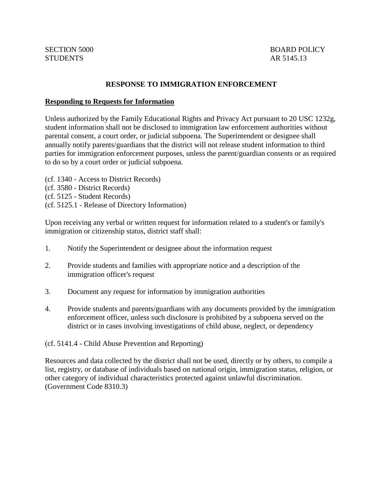## **RESPONSE TO IMMIGRATION ENFORCEMENT**

## **Responding to Requests for Information**

Unless authorized by the Family Educational Rights and Privacy Act pursuant to 20 USC 1232g, student information shall not be disclosed to immigration law enforcement authorities without parental consent, a court order, or judicial subpoena. The Superintendent or designee shall annually notify parents/guardians that the district will not release student information to third parties for immigration enforcement purposes, unless the parent/guardian consents or as required to do so by a court order or judicial subpoena.

- (cf. 1340 Access to District Records)
- (cf. 3580 District Records)
- (cf. 5125 Student Records)
- (cf. 5125.1 Release of Directory Information)

Upon receiving any verbal or written request for information related to a student's or family's immigration or citizenship status, district staff shall:

- 1. Notify the Superintendent or designee about the information request
- 2. Provide students and families with appropriate notice and a description of the immigration officer's request
- 3. Document any request for information by immigration authorities
- 4. Provide students and parents/guardians with any documents provided by the immigration enforcement officer, unless such disclosure is prohibited by a subpoena served on the district or in cases involving investigations of child abuse, neglect, or dependency

(cf. 5141.4 - Child Abuse Prevention and Reporting)

Resources and data collected by the district shall not be used, directly or by others, to compile a list, registry, or database of individuals based on national origin, immigration status, religion, or other category of individual characteristics protected against unlawful discrimination. (Government Code 8310.3)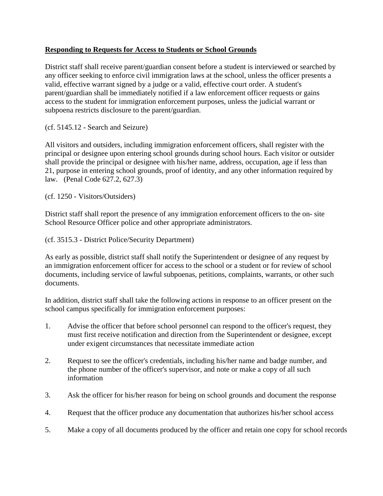## **Responding to Requests for Access to Students or School Grounds**

District staff shall receive parent/guardian consent before a student is interviewed or searched by any officer seeking to enforce civil immigration laws at the school, unless the officer presents a valid, effective warrant signed by a judge or a valid, effective court order. A student's parent/guardian shall be immediately notified if a law enforcement officer requests or gains access to the student for immigration enforcement purposes, unless the judicial warrant or subpoena restricts disclosure to the parent/guardian.

(cf. 5145.12 - Search and Seizure)

All visitors and outsiders, including immigration enforcement officers, shall register with the principal or designee upon entering school grounds during school hours. Each visitor or outsider shall provide the principal or designee with his/her name, address, occupation, age if less than 21, purpose in entering school grounds, proof of identity, and any other information required by law. (Penal Code 627.2, 627.3)

(cf. 1250 - Visitors/Outsiders)

District staff shall report the presence of any immigration enforcement officers to the on- site School Resource Officer police and other appropriate administrators.

(cf. 3515.3 - District Police/Security Department)

As early as possible, district staff shall notify the Superintendent or designee of any request by an immigration enforcement officer for access to the school or a student or for review of school documents, including service of lawful subpoenas, petitions, complaints, warrants, or other such documents.

In addition, district staff shall take the following actions in response to an officer present on the school campus specifically for immigration enforcement purposes:

- 1. Advise the officer that before school personnel can respond to the officer's request, they must first receive notification and direction from the Superintendent or designee, except under exigent circumstances that necessitate immediate action
- 2. Request to see the officer's credentials, including his/her name and badge number, and the phone number of the officer's supervisor, and note or make a copy of all such information
- 3. Ask the officer for his/her reason for being on school grounds and document the response
- 4. Request that the officer produce any documentation that authorizes his/her school access
- 5. Make a copy of all documents produced by the officer and retain one copy for school records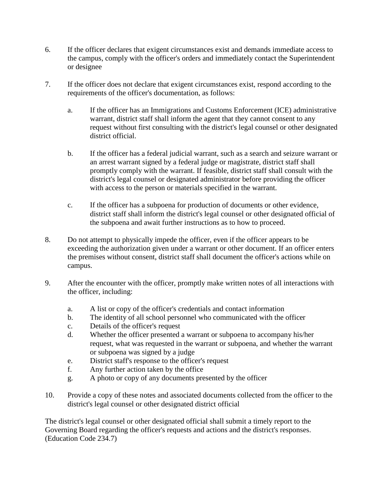- 6. If the officer declares that exigent circumstances exist and demands immediate access to the campus, comply with the officer's orders and immediately contact the Superintendent or designee
- 7. If the officer does not declare that exigent circumstances exist, respond according to the requirements of the officer's documentation, as follows:
	- a. If the officer has an Immigrations and Customs Enforcement (ICE) administrative warrant, district staff shall inform the agent that they cannot consent to any request without first consulting with the district's legal counsel or other designated district official.
	- b. If the officer has a federal judicial warrant, such as a search and seizure warrant or an arrest warrant signed by a federal judge or magistrate, district staff shall promptly comply with the warrant. If feasible, district staff shall consult with the district's legal counsel or designated administrator before providing the officer with access to the person or materials specified in the warrant.
	- c. If the officer has a subpoena for production of documents or other evidence, district staff shall inform the district's legal counsel or other designated official of the subpoena and await further instructions as to how to proceed.
- 8. Do not attempt to physically impede the officer, even if the officer appears to be exceeding the authorization given under a warrant or other document. If an officer enters the premises without consent, district staff shall document the officer's actions while on campus.
- 9. After the encounter with the officer, promptly make written notes of all interactions with the officer, including:
	- a. A list or copy of the officer's credentials and contact information
	- b. The identity of all school personnel who communicated with the officer
	- c. Details of the officer's request
	- d. Whether the officer presented a warrant or subpoena to accompany his/her request, what was requested in the warrant or subpoena, and whether the warrant or subpoena was signed by a judge
	- e. District staff's response to the officer's request
	- f. Any further action taken by the office
	- g. A photo or copy of any documents presented by the officer
- 10. Provide a copy of these notes and associated documents collected from the officer to the district's legal counsel or other designated district official

The district's legal counsel or other designated official shall submit a timely report to the Governing Board regarding the officer's requests and actions and the district's responses. (Education Code 234.7)